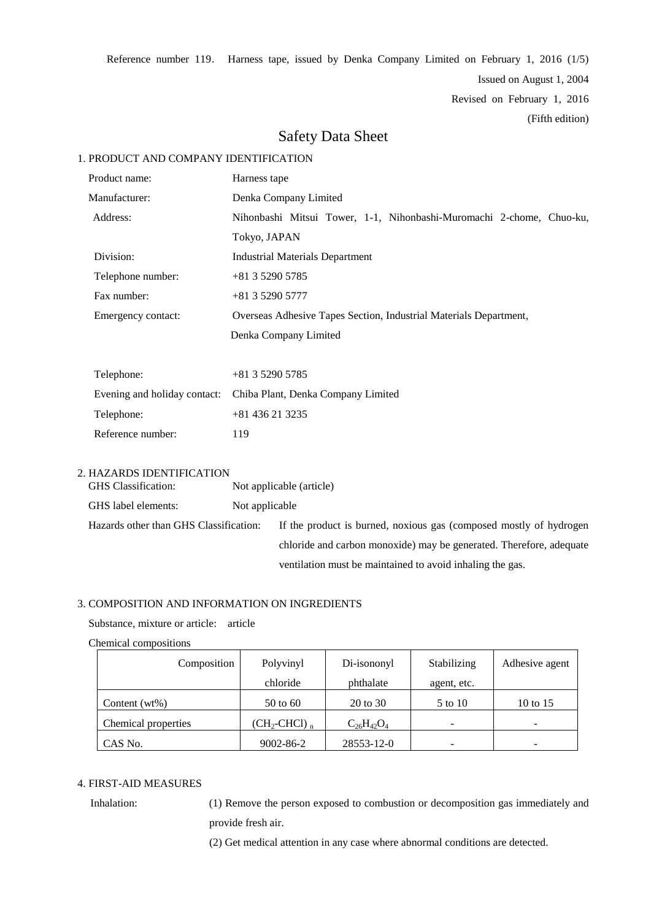Reference number 119. Harness tape, issued by Denka Company Limited on February 1, 2016 (1/5)

Issued on August 1, 2004

Revised on February 1, 2016

(Fifth edition)

# Safety Data Sheet

# 1. PRODUCT AND COMPANY IDENTIFICATION

| Product name:      |                              | Harness tape                                                         |  |  |  |  |
|--------------------|------------------------------|----------------------------------------------------------------------|--|--|--|--|
| Manufacturer:      |                              | Denka Company Limited                                                |  |  |  |  |
|                    | Address:                     | Nihonbashi Mitsui Tower, 1-1, Nihonbashi-Muromachi 2-chome, Chuo-ku, |  |  |  |  |
|                    |                              | Tokyo, JAPAN                                                         |  |  |  |  |
|                    | Division:                    | <b>Industrial Materials Department</b>                               |  |  |  |  |
|                    | Telephone number:            | $+81352905785$                                                       |  |  |  |  |
| Fax number:        |                              | $+81352905777$                                                       |  |  |  |  |
| Emergency contact: |                              | Overseas Adhesive Tapes Section, Industrial Materials Department,    |  |  |  |  |
|                    |                              | Denka Company Limited                                                |  |  |  |  |
|                    |                              |                                                                      |  |  |  |  |
|                    | Telephone:                   | $+81352905785$                                                       |  |  |  |  |
|                    | Evening and holiday contact: | Chiba Plant, Denka Company Limited                                   |  |  |  |  |
|                    | Telephone:                   | +81 436 21 3235                                                      |  |  |  |  |

2. HAZARDS IDENTIFICATION

Reference number: 119

| <b>GHS</b> Classification:             |                | Not applicable (article)                                            |
|----------------------------------------|----------------|---------------------------------------------------------------------|
| GHS label elements:                    | Not applicable |                                                                     |
| Hazards other than GHS Classification: |                | If the product is burned, noxious gas (composed mostly of hydrogen  |
|                                        |                | chloride and carbon monoxide) may be generated. Therefore, adequate |
|                                        |                | ventilation must be maintained to avoid inhaling the gas.           |

# 3. COMPOSITION AND INFORMATION ON INGREDIENTS

Substance, mixture or article: article

#### Chemical compositions

| Composition         | Polyvinyl              | Di-isononyl       | Stabilizing | Adhesive agent |
|---------------------|------------------------|-------------------|-------------|----------------|
|                     | chloride               | phthalate         | agent, etc. |                |
| Content $(wt\%)$    | $50$ to $60$           | 20 to 30          | 5 to 10     | 10 to 15       |
| Chemical properties | $(CH_2\text{-CHCl})$ n | $C_{26}H_{42}O_4$ | -           | ۰              |
| CAS No.             | 9002-86-2              | 28553-12-0        | -           |                |

# 4. FIRST-AID MEASURES

Inhalation: (1) Remove the person exposed to combustion or decomposition gas immediately and provide fresh air.

(2) Get medical attention in any case where abnormal conditions are detected.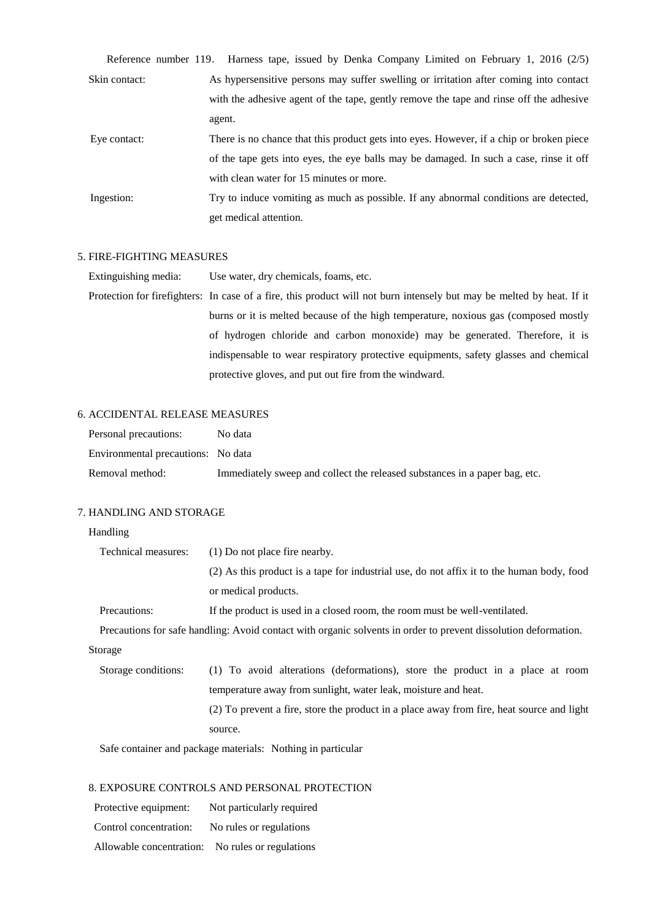|               | Reference number 119. Harness tape, issued by Denka Company Limited on February 1, 2016 (2/5) |
|---------------|-----------------------------------------------------------------------------------------------|
| Skin contact: | As hypersensitive persons may suffer swelling or irritation after coming into contact         |
|               | with the adhesive agent of the tape, gently remove the tape and rinse off the adhesive        |
|               | agent.                                                                                        |
| Eye contact:  | There is no chance that this product gets into eyes. However, if a chip or broken piece       |
|               | of the tape gets into eyes, the eye balls may be damaged. In such a case, rinse it off        |
|               | with clean water for 15 minutes or more.                                                      |
| Ingestion:    | Try to induce vomiting as much as possible. If any abnormal conditions are detected,          |
|               | get medical attention.                                                                        |

# 5. FIRE-FIGHTING MEASURES

Extinguishing media: Use water, dry chemicals, foams, etc.

Protection for firefighters: In case of a fire, this product will not burn intensely but may be melted by heat. If it burns or it is melted because of the high temperature, noxious gas (composed mostly of hydrogen chloride and carbon monoxide) may be generated. Therefore, it is indispensable to wear respiratory protective equipments, safety glasses and chemical protective gloves, and put out fire from the windward.

# 6. ACCIDENTAL RELEASE MEASURES

| Personal precautions:              | No data                                                                    |
|------------------------------------|----------------------------------------------------------------------------|
| Environmental precautions: No data |                                                                            |
| Removal method:                    | Immediately sweep and collect the released substances in a paper bag, etc. |

# 7. HANDLING AND STORAGE

# Handling

| Technical measures:                                            | (1) Do not place fire nearby.                                                                                   |  |  |
|----------------------------------------------------------------|-----------------------------------------------------------------------------------------------------------------|--|--|
|                                                                | (2) As this product is a tape for industrial use, do not affix it to the human body, food                       |  |  |
|                                                                | or medical products.                                                                                            |  |  |
| Precautions:                                                   | If the product is used in a closed room, the room must be well-ventilated.                                      |  |  |
|                                                                | Precautions for safe handling: Avoid contact with organic solvents in order to prevent dissolution deformation. |  |  |
| Storage                                                        |                                                                                                                 |  |  |
| Storage conditions:                                            | (1) To avoid alterations (deformations), store the product in a place at room                                   |  |  |
| temperature away from sunlight, water leak, moisture and heat. |                                                                                                                 |  |  |
|                                                                | (2) To prevent a fire, store the product in a place away from fire, heat source and light                       |  |  |

source.

Safe container and package materials: Nothing in particular

# 8. EXPOSURE CONTROLS AND PERSONAL PROTECTION

| Protective equipment:    | Not particularly required |
|--------------------------|---------------------------|
| Control concentration:   | No rules or regulations   |
| Allowable concentration: | No rules or regulations   |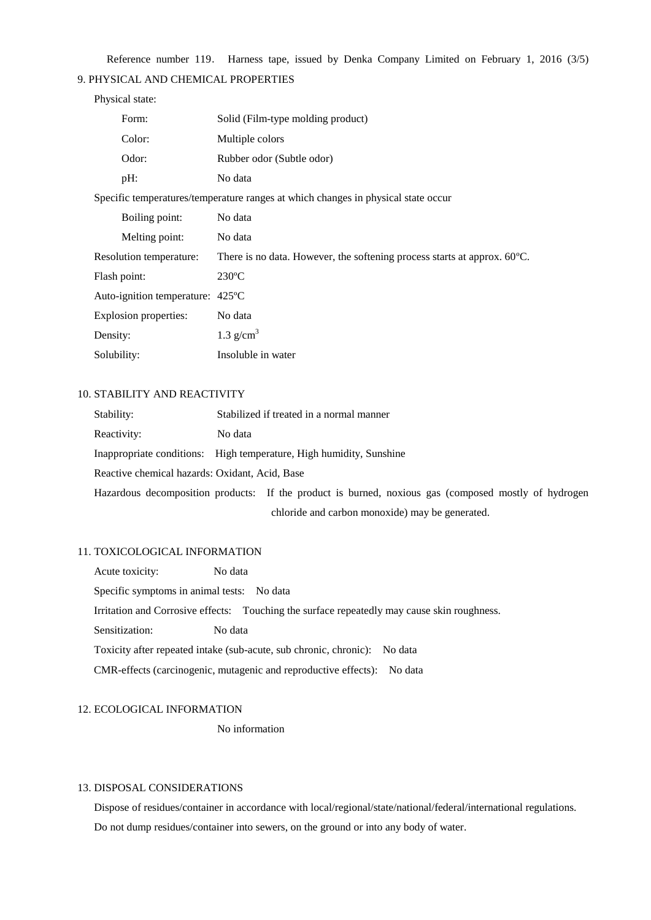Reference number 119. Harness tape, issued by Denka Company Limited on February 1, 2016 (3/5)

# 9. PHYSICAL AND CHEMICAL PROPERTIES

# Physical state:

| Form:                      | Solid (Film-type molding product)                                                  |
|----------------------------|------------------------------------------------------------------------------------|
| Color:                     | Multiple colors                                                                    |
| Odor:                      | Rubber odor (Subtle odor)                                                          |
| pH:                        | No data                                                                            |
|                            | Specific temperatures/temperature ranges at which changes in physical state occur  |
| Boiling point:             | No data                                                                            |
| Melting point:             | No data                                                                            |
| Resolution temperature:    | There is no data. However, the softening process starts at approx. $60^{\circ}$ C. |
| Flash point:               | $230^{\circ}$ C                                                                    |
| Auto-ignition temperature: | $425^{\circ}$ C                                                                    |
| Explosion properties:      | No data                                                                            |
| Density:                   | 1.3 $g/cm3$                                                                        |
| Solubility:                | Insoluble in water                                                                 |

# 10. STABILITY AND REACTIVITY

| Stability:                                     |         | Stabilized if treated in a normal manner                                                             |
|------------------------------------------------|---------|------------------------------------------------------------------------------------------------------|
| Reactivity:                                    | No data |                                                                                                      |
|                                                |         | Inappropriate conditions: High temperature, High humidity, Sunshine                                  |
| Reactive chemical hazards: Oxidant, Acid, Base |         |                                                                                                      |
|                                                |         | Hazardous decomposition products: If the product is burned, noxious gas (composed mostly of hydrogen |
|                                                |         | chloride and carbon monoxide) may be generated.                                                      |

#### 11. TOXICOLOGICAL INFORMATION

Acute toxicity: No data Specific symptoms in animal tests: No data Irritation and Corrosive effects: Touching the surface repeatedly may cause skin roughness. Sensitization: No data Toxicity after repeated intake (sub-acute, sub chronic, chronic): No data CMR-effects (carcinogenic, mutagenic and reproductive effects): No data

# 12. ECOLOGICAL INFORMATION

No information

### 13. DISPOSAL CONSIDERATIONS

Dispose of residues/container in accordance with local/regional/state/national/federal/international regulations. Do not dump residues/container into sewers, on the ground or into any body of water.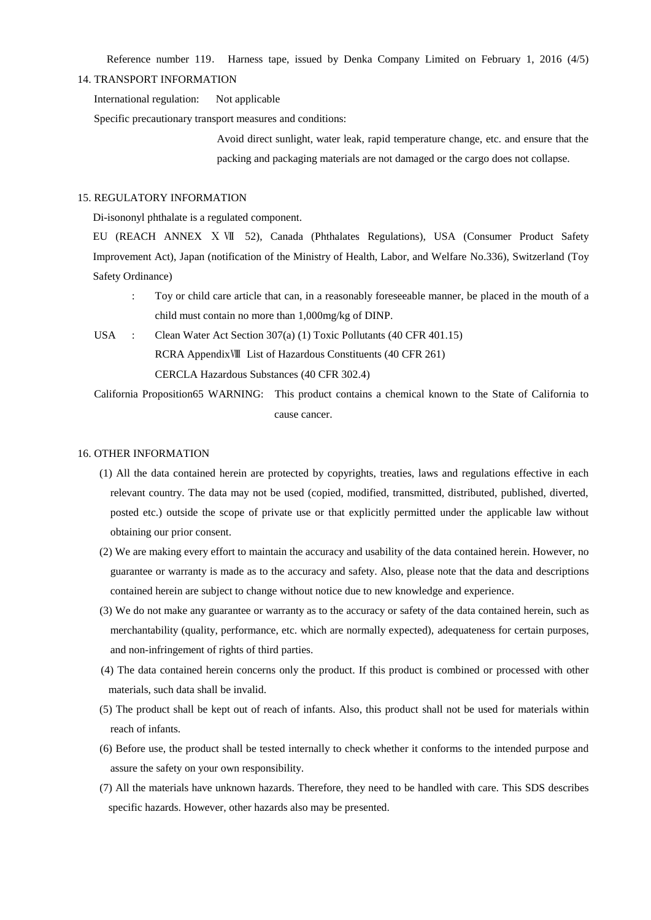Reference number 119. Harness tape, issued by Denka Company Limited on February 1, 2016 (4/5)

#### 14. TRANSPORT INFORMATION

International regulation: Not applicable

Specific precautionary transport measures and conditions:

Avoid direct sunlight, water leak, rapid temperature change, etc. and ensure that the packing and packaging materials are not damaged or the cargo does not collapse.

# 15. REGULATORY INFORMATION

Di-isononyl phthalate is a regulated component.

EU (REACH ANNEX Ⅹ Ⅶ 52), Canada (Phthalates Regulations), USA (Consumer Product Safety Improvement Act), Japan (notification of the Ministry of Health, Labor, and Welfare No.336), Switzerland (Toy Safety Ordinance)

- : Toy or child care article that can, in a reasonably foreseeable manner, be placed in the mouth of a child must contain no more than 1,000mg/kg of DINP.
- USA : Clean Water Act Section 307(a) (1) Toxic Pollutants (40 CFR 401.15) RCRA AppendixⅧ List of Hazardous Constituents (40 CFR 261) CERCLA Hazardous Substances (40 CFR 302.4)

 California Proposition65 WARNING: This product contains a chemical known to the State of California to cause cancer.

#### 16. OTHER INFORMATION

- (1) All the data contained herein are protected by copyrights, treaties, laws and regulations effective in each relevant country. The data may not be used (copied, modified, transmitted, distributed, published, diverted, posted etc.) outside the scope of private use or that explicitly permitted under the applicable law without obtaining our prior consent.
- (2) We are making every effort to maintain the accuracy and usability of the data contained herein. However, no guarantee or warranty is made as to the accuracy and safety. Also, please note that the data and descriptions contained herein are subject to change without notice due to new knowledge and experience.
- (3) We do not make any guarantee or warranty as to the accuracy or safety of the data contained herein, such as merchantability (quality, performance, etc. which are normally expected), adequateness for certain purposes, and non-infringement of rights of third parties.
- (4) The data contained herein concerns only the product. If this product is combined or processed with other materials, such data shall be invalid.
- (5) The product shall be kept out of reach of infants. Also, this product shall not be used for materials within reach of infants.
- (6) Before use, the product shall be tested internally to check whether it conforms to the intended purpose and assure the safety on your own responsibility.
- (7) All the materials have unknown hazards. Therefore, they need to be handled with care. This SDS describes specific hazards. However, other hazards also may be presented.